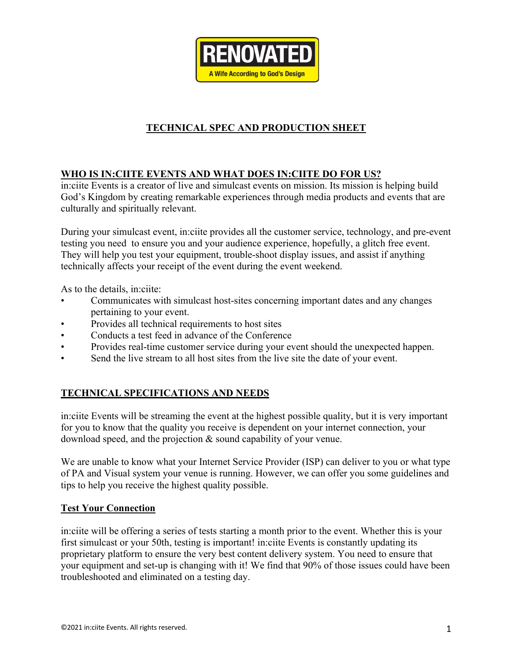

# **TECHNICAL SPEC AND PRODUCTION SHEET**

# **WHO IS IN:CIITE EVENTS AND WHAT DOES IN:CIITE DO FOR US?**

in:ciite Events is a creator of live and simulcast events on mission. Its mission is helping build God's Kingdom by creating remarkable experiences through media products and events that are culturally and spiritually relevant.

During your simulcast event, in:ciite provides all the customer service, technology, and pre-event testing you need to ensure you and your audience experience, hopefully, a glitch free event. They will help you test your equipment, trouble-shoot display issues, and assist if anything technically affects your receipt of the event during the event weekend.

As to the details, in:ciite:

- Communicates with simulcast host-sites concerning important dates and any changes pertaining to your event.
- Provides all technical requirements to host sites
- Conducts a test feed in advance of the Conference
- Provides real-time customer service during your event should the unexpected happen.
- Send the live stream to all host sites from the live site the date of your event.

# **TECHNICAL SPECIFICATIONS AND NEEDS**

in:ciite Events will be streaming the event at the highest possible quality, but it is very important for you to know that the quality you receive is dependent on your internet connection, your download speed, and the projection & sound capability of your venue.

We are unable to know what your Internet Service Provider (ISP) can deliver to you or what type of PA and Visual system your venue is running. However, we can offer you some guidelines and tips to help you receive the highest quality possible.

### **Test Your Connection**

in:ciite will be offering a series of tests starting a month prior to the event. Whether this is your first simulcast or your 50th, testing is important! in:ciite Events is constantly updating its proprietary platform to ensure the very best content delivery system. You need to ensure that your equipment and set-up is changing with it! We find that 90% of those issues could have been troubleshooted and eliminated on a testing day.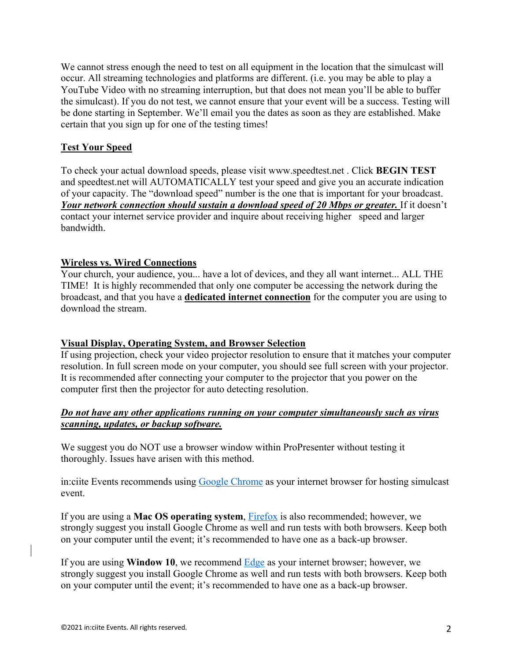We cannot stress enough the need to test on all equipment in the location that the simulcast will occur. All streaming technologies and platforms are different. (i.e. you may be able to play a YouTube Video with no streaming interruption, but that does not mean you'll be able to buffer the simulcast). If you do not test, we cannot ensure that your event will be a success. Testing will be done starting in September. We'll email you the dates as soon as they are established. Make certain that you sign up for one of the testing times!

### **Test Your Speed**

To check your actual download speeds, please visit www.speedtest.net . Click **BEGIN TEST**  and speedtest.net will AUTOMATICALLY test your speed and give you an accurate indication of your capacity. The "download speed" number is the one that is important for your broadcast. *Your network connection should sustain a download speed of 20 Mbps or greater.* If it doesn't contact your internet service provider and inquire about receiving higher speed and larger bandwidth.

### **Wireless vs. Wired Connections**

Your church, your audience, you... have a lot of devices, and they all want internet... ALL THE TIME! It is highly recommended that only one computer be accessing the network during the broadcast, and that you have a **dedicated internet connection** for the computer you are using to download the stream.

#### **Visual Display, Operating System, and Browser Selection**

If using projection, check your video projector resolution to ensure that it matches your computer resolution. In full screen mode on your computer, you should see full screen with your projector. It is recommended after connecting your computer to the projector that you power on the computer first then the projector for auto detecting resolution.

### *Do not have any other applications running on your computer simultaneously such as virus scanning, updates, or backup software.*

We suggest you do NOT use a browser window within ProPresenter without testing it thoroughly. Issues have arisen with this method.

in:ciite Events recommends using Google Chrome as your internet browser for hosting simulcast event.

If you are using a **Mac OS operating system**, Firefox is also recommended; however, we strongly suggest you install Google Chrome as well and run tests with both browsers. Keep both on your computer until the event; it's recommended to have one as a back-up browser.

If you are using **Window 10**, we recommend Edge as your internet browser; however, we strongly suggest you install Google Chrome as well and run tests with both browsers. Keep both on your computer until the event; it's recommended to have one as a back-up browser.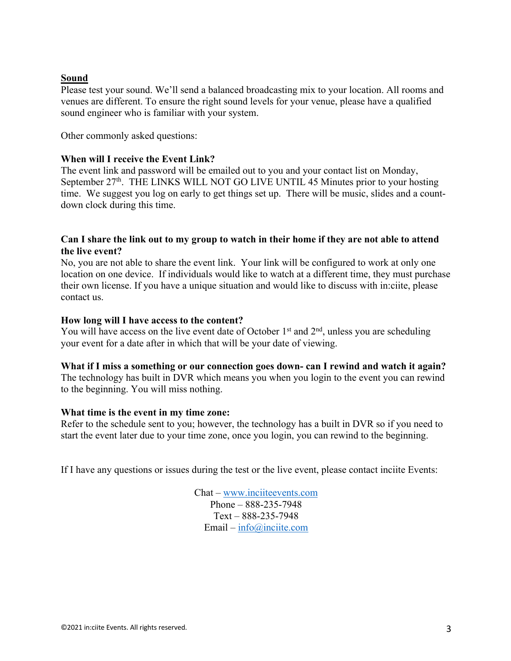### **Sound**

Please test your sound. We'll send a balanced broadcasting mix to your location. All rooms and venues are different. To ensure the right sound levels for your venue, please have a qualified sound engineer who is familiar with your system.

Other commonly asked questions:

### **When will I receive the Event Link?**

The event link and password will be emailed out to you and your contact list on Monday, September  $27<sup>th</sup>$ . THE LINKS WILL NOT GO LIVE UNTIL 45 Minutes prior to your hosting time. We suggest you log on early to get things set up. There will be music, slides and a countdown clock during this time.

### **Can I share the link out to my group to watch in their home if they are not able to attend the live event?**

No, you are not able to share the event link. Your link will be configured to work at only one location on one device. If individuals would like to watch at a different time, they must purchase their own license. If you have a unique situation and would like to discuss with in:ciite, please contact us.

### **How long will I have access to the content?**

You will have access on the live event date of October  $1<sup>st</sup>$  and  $2<sup>nd</sup>$ , unless you are scheduling your event for a date after in which that will be your date of viewing.

### **What if I miss a something or our connection goes down- can I rewind and watch it again?**

The technology has built in DVR which means you when you login to the event you can rewind to the beginning. You will miss nothing.

#### **What time is the event in my time zone:**

Refer to the schedule sent to you; however, the technology has a built in DVR so if you need to start the event later due to your time zone, once you login, you can rewind to the beginning.

If I have any questions or issues during the test or the live event, please contact inciite Events:

Chat – www.inciiteevents.com Phone – 888-235-7948 Text – 888-235-7948 Email – info@inciite.com